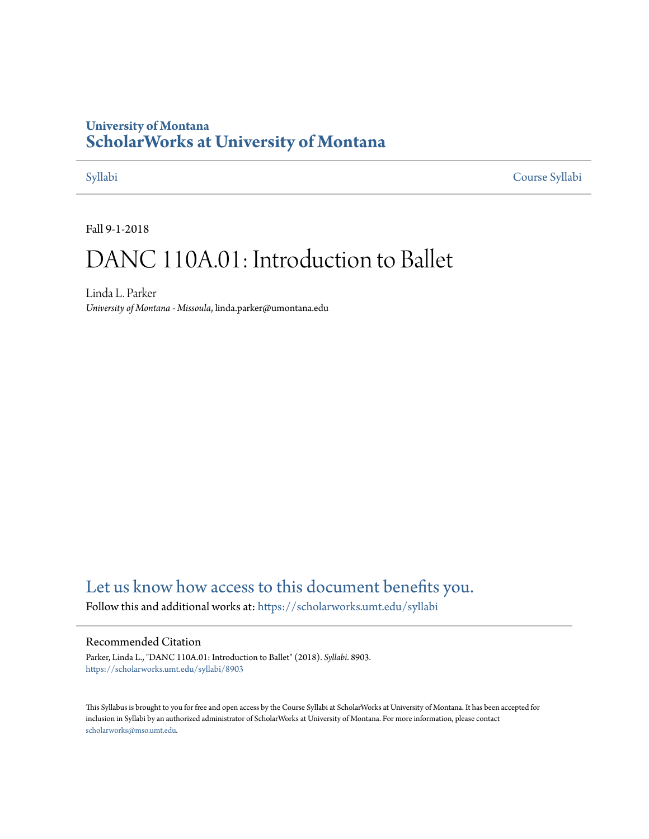## **University of Montana [ScholarWorks at University of Montana](https://scholarworks.umt.edu?utm_source=scholarworks.umt.edu%2Fsyllabi%2F8903&utm_medium=PDF&utm_campaign=PDFCoverPages)**

[Syllabi](https://scholarworks.umt.edu/syllabi?utm_source=scholarworks.umt.edu%2Fsyllabi%2F8903&utm_medium=PDF&utm_campaign=PDFCoverPages) [Course Syllabi](https://scholarworks.umt.edu/course_syllabi?utm_source=scholarworks.umt.edu%2Fsyllabi%2F8903&utm_medium=PDF&utm_campaign=PDFCoverPages)

Fall 9-1-2018

# DANC 110A.01: Introduction to Ballet

Linda L. Parker *University of Montana - Missoula*, linda.parker@umontana.edu

# [Let us know how access to this document benefits you.](https://goo.gl/forms/s2rGfXOLzz71qgsB2)

Follow this and additional works at: [https://scholarworks.umt.edu/syllabi](https://scholarworks.umt.edu/syllabi?utm_source=scholarworks.umt.edu%2Fsyllabi%2F8903&utm_medium=PDF&utm_campaign=PDFCoverPages)

#### Recommended Citation

Parker, Linda L., "DANC 110A.01: Introduction to Ballet" (2018). *Syllabi*. 8903. [https://scholarworks.umt.edu/syllabi/8903](https://scholarworks.umt.edu/syllabi/8903?utm_source=scholarworks.umt.edu%2Fsyllabi%2F8903&utm_medium=PDF&utm_campaign=PDFCoverPages)

This Syllabus is brought to you for free and open access by the Course Syllabi at ScholarWorks at University of Montana. It has been accepted for inclusion in Syllabi by an authorized administrator of ScholarWorks at University of Montana. For more information, please contact [scholarworks@mso.umt.edu](mailto:scholarworks@mso.umt.edu).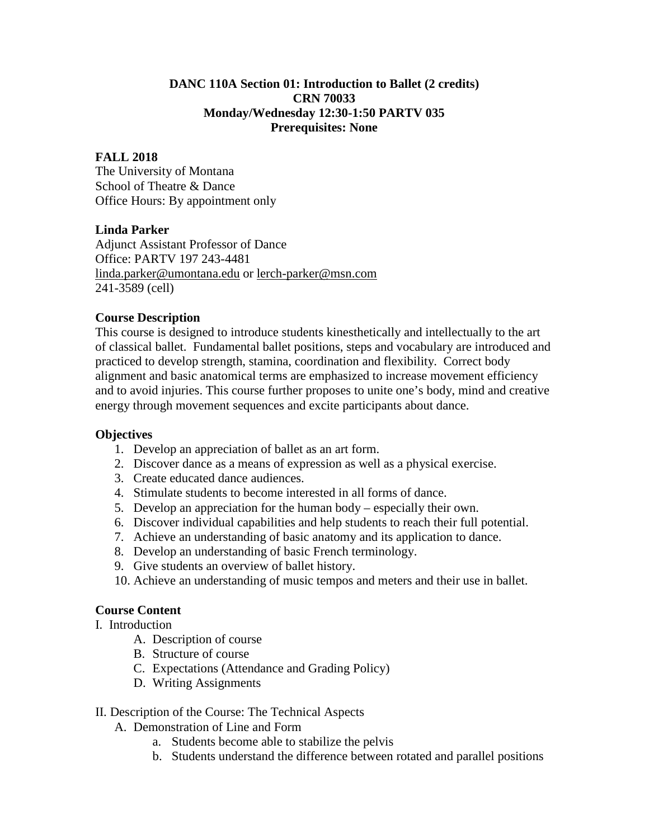#### **DANC 110A Section 01: Introduction to Ballet (2 credits) CRN 70033 Monday/Wednesday 12:30-1:50 PARTV 035 Prerequisites: None**

#### **FALL 2018**

The University of Montana School of Theatre & Dance Office Hours: By appointment only

#### **Linda Parker**

Adjunct Assistant Professor of Dance Office: PARTV 197 243-4481 [linda.parker@umontana.edu](mailto:linda.parker@umontana.edu) or [lerch-parker@msn.com](mailto:lerch-parker@msn.com) 241-3589 (cell)

#### **Course Description**

This course is designed to introduce students kinesthetically and intellectually to the art of classical ballet. Fundamental ballet positions, steps and vocabulary are introduced and practiced to develop strength, stamina, coordination and flexibility. Correct body alignment and basic anatomical terms are emphasized to increase movement efficiency and to avoid injuries. This course further proposes to unite one's body, mind and creative energy through movement sequences and excite participants about dance.

#### **Objectives**

- 1. Develop an appreciation of ballet as an art form.
- 2. Discover dance as a means of expression as well as a physical exercise.
- 3. Create educated dance audiences.
- 4. Stimulate students to become interested in all forms of dance.
- 5. Develop an appreciation for the human body especially their own.
- 6. Discover individual capabilities and help students to reach their full potential.
- 7. Achieve an understanding of basic anatomy and its application to dance.
- 8. Develop an understanding of basic French terminology.
- 9. Give students an overview of ballet history.
- 10. Achieve an understanding of music tempos and meters and their use in ballet.

### **Course Content**

I. Introduction

- A. Description of course
- B. Structure of course
- C. Expectations (Attendance and Grading Policy)
- D. Writing Assignments

#### II. Description of the Course: The Technical Aspects

- A. Demonstration of Line and Form
	- a. Students become able to stabilize the pelvis
	- b. Students understand the difference between rotated and parallel positions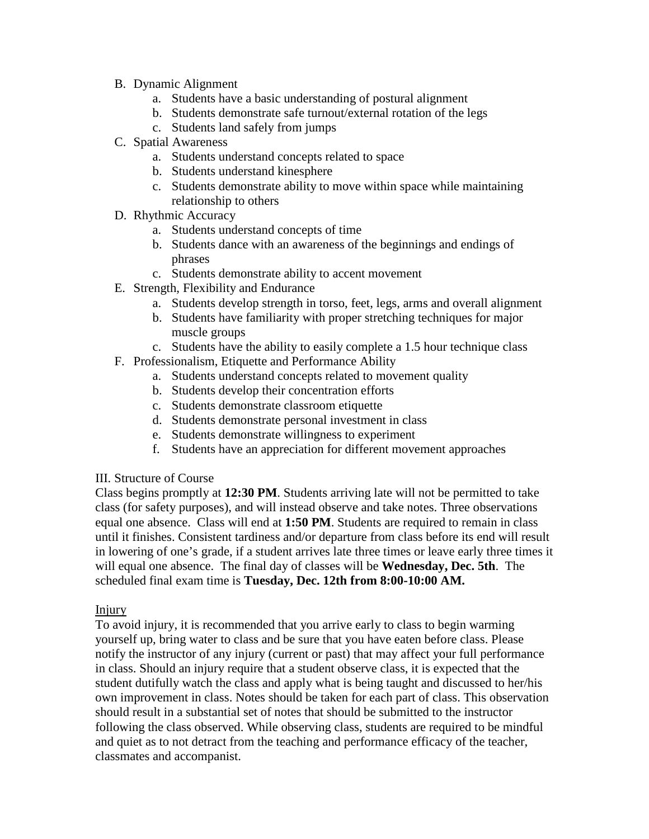- B. Dynamic Alignment
	- a. Students have a basic understanding of postural alignment
	- b. Students demonstrate safe turnout/external rotation of the legs
	- c. Students land safely from jumps
- C. Spatial Awareness
	- a. Students understand concepts related to space
	- b. Students understand kinesphere
	- c. Students demonstrate ability to move within space while maintaining relationship to others
- D. Rhythmic Accuracy
	- a. Students understand concepts of time
	- b. Students dance with an awareness of the beginnings and endings of phrases
	- c. Students demonstrate ability to accent movement
- E. Strength, Flexibility and Endurance
	- a. Students develop strength in torso, feet, legs, arms and overall alignment
	- b. Students have familiarity with proper stretching techniques for major muscle groups
	- c. Students have the ability to easily complete a 1.5 hour technique class
- F. Professionalism, Etiquette and Performance Ability
	- a. Students understand concepts related to movement quality
	- b. Students develop their concentration efforts
	- c. Students demonstrate classroom etiquette
	- d. Students demonstrate personal investment in class
	- e. Students demonstrate willingness to experiment
	- f. Students have an appreciation for different movement approaches

#### III. Structure of Course

Class begins promptly at **12:30 PM**. Students arriving late will not be permitted to take class (for safety purposes), and will instead observe and take notes. Three observations equal one absence. Class will end at **1:50 PM**. Students are required to remain in class until it finishes. Consistent tardiness and/or departure from class before its end will result in lowering of one's grade, if a student arrives late three times or leave early three times it will equal one absence. The final day of classes will be **Wednesday, Dec. 5th**. The scheduled final exam time is **Tuesday, Dec. 12th from 8:00-10:00 AM.**

#### Injury

To avoid injury, it is recommended that you arrive early to class to begin warming yourself up, bring water to class and be sure that you have eaten before class. Please notify the instructor of any injury (current or past) that may affect your full performance in class. Should an injury require that a student observe class, it is expected that the student dutifully watch the class and apply what is being taught and discussed to her/his own improvement in class. Notes should be taken for each part of class. This observation should result in a substantial set of notes that should be submitted to the instructor following the class observed. While observing class, students are required to be mindful and quiet as to not detract from the teaching and performance efficacy of the teacher, classmates and accompanist.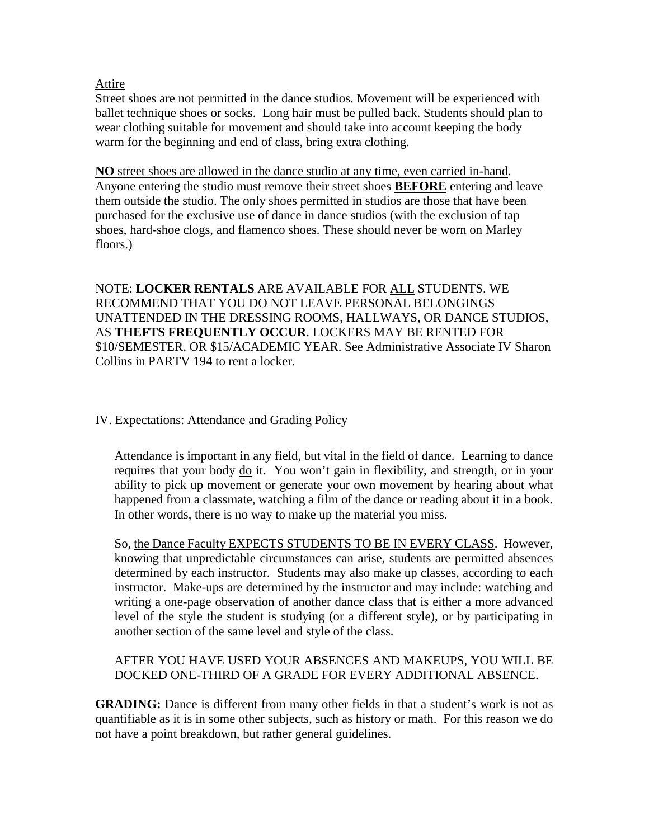#### Attire

Street shoes are not permitted in the dance studios. Movement will be experienced with ballet technique shoes or socks. Long hair must be pulled back. Students should plan to wear clothing suitable for movement and should take into account keeping the body warm for the beginning and end of class, bring extra clothing.

**NO** street shoes are allowed in the dance studio at any time, even carried in-hand. Anyone entering the studio must remove their street shoes **BEFORE** entering and leave them outside the studio. The only shoes permitted in studios are those that have been purchased for the exclusive use of dance in dance studios (with the exclusion of tap shoes, hard-shoe clogs, and flamenco shoes. These should never be worn on Marley floors.)

NOTE: **LOCKER RENTALS** ARE AVAILABLE FOR ALL STUDENTS. WE RECOMMEND THAT YOU DO NOT LEAVE PERSONAL BELONGINGS UNATTENDED IN THE DRESSING ROOMS, HALLWAYS, OR DANCE STUDIOS, AS **THEFTS FREQUENTLY OCCUR**. LOCKERS MAY BE RENTED FOR \$10/SEMESTER, OR \$15/ACADEMIC YEAR. See Administrative Associate IV Sharon Collins in PARTV 194 to rent a locker.

#### IV. Expectations: Attendance and Grading Policy

Attendance is important in any field, but vital in the field of dance. Learning to dance requires that your body do it. You won't gain in flexibility, and strength, or in your ability to pick up movement or generate your own movement by hearing about what happened from a classmate, watching a film of the dance or reading about it in a book. In other words, there is no way to make up the material you miss.

So, the Dance Faculty EXPECTS STUDENTS TO BE IN EVERY CLASS. However, knowing that unpredictable circumstances can arise, students are permitted absences determined by each instructor. Students may also make up classes, according to each instructor. Make-ups are determined by the instructor and may include: watching and writing a one-page observation of another dance class that is either a more advanced level of the style the student is studying (or a different style), or by participating in another section of the same level and style of the class.

### AFTER YOU HAVE USED YOUR ABSENCES AND MAKEUPS, YOU WILL BE DOCKED ONE-THIRD OF A GRADE FOR EVERY ADDITIONAL ABSENCE.

**GRADING:** Dance is different from many other fields in that a student's work is not as quantifiable as it is in some other subjects, such as history or math. For this reason we do not have a point breakdown, but rather general guidelines.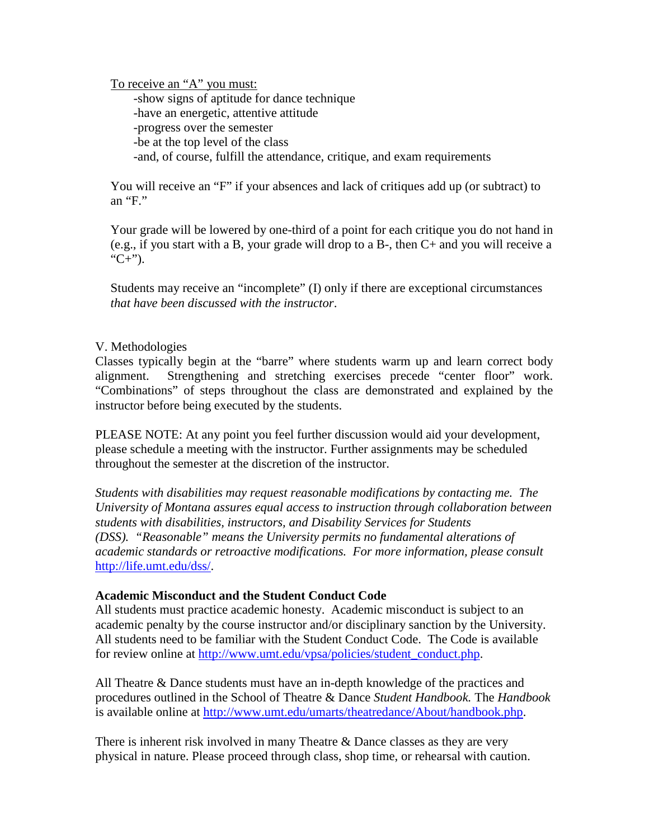To receive an "A" you must:

-show signs of aptitude for dance technique -have an energetic, attentive attitude -progress over the semester -be at the top level of the class -and, of course, fulfill the attendance, critique, and exam requirements

You will receive an "F" if your absences and lack of critiques add up (or subtract) to an "F."

Your grade will be lowered by one-third of a point for each critique you do not hand in (e.g., if you start with a B, your grade will drop to a B-, then C+ and you will receive a " $C+$ ").

Students may receive an "incomplete" (I) only if there are exceptional circumstances *that have been discussed with the instructor*.

#### V. Methodologies

Classes typically begin at the "barre" where students warm up and learn correct body alignment. Strengthening and stretching exercises precede "center floor" work. "Combinations" of steps throughout the class are demonstrated and explained by the instructor before being executed by the students.

PLEASE NOTE: At any point you feel further discussion would aid your development, please schedule a meeting with the instructor. Further assignments may be scheduled throughout the semester at the discretion of the instructor.

*Students with disabilities may request reasonable modifications by contacting me. The University of Montana assures equal access to instruction through collaboration between students with disabilities, instructors, and Disability Services for Students (DSS). "Reasonable" means the University permits no fundamental alterations of academic standards or retroactive modifications. For more information, please consult* [http://life.umt.edu/dss/.](http://life.umt.edu/dss/)

#### **Academic Misconduct and the Student Conduct Code**

All students must practice academic honesty. Academic misconduct is subject to an academic penalty by the course instructor and/or disciplinary sanction by the University. All students need to be familiar with the Student Conduct Code. The Code is available for review online at [http://www.umt.edu/vpsa/policies/student\\_conduct.php.](http://www.umt.edu/vpsa/policies/student_conduct.php)

All Theatre & Dance students must have an in-depth knowledge of the practices and procedures outlined in the School of Theatre & Dance *Student Handbook.* The *Handbook* is available online at [http://www.umt.edu/umarts/theatredance/About/handbook.php.](http://www.umt.edu/umarts/theatredance/About/handbook.php)

There is inherent risk involved in many Theatre & Dance classes as they are very physical in nature. Please proceed through class, shop time, or rehearsal with caution.